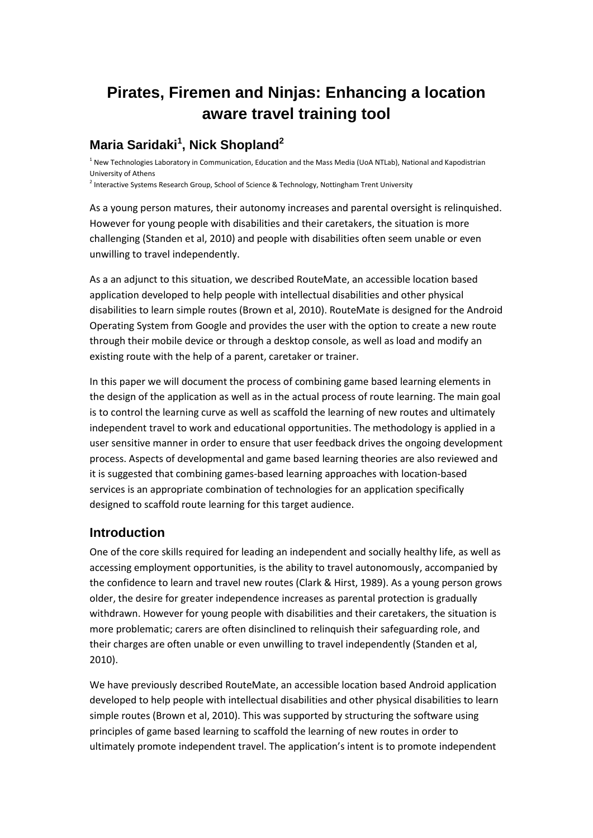# **Pirates, Firemen and Ninjas: Enhancing a location aware travel training tool**

## **Maria Saridaki<sup>1</sup> , Nick Shopland<sup>2</sup>**

<sup>1</sup> New Technologies Laboratory in Communication, Education and the Mass Media (UoA NTLab), National and Kapodistrian University of Athens

<sup>2</sup> Interactive Systems Research Group, School of Science & Technology, Nottingham Trent University

As a young person matures, their autonomy increases and parental oversight is relinquished. However for young people with disabilities and their caretakers, the situation is more challenging (Standen et al, 2010) and people with disabilities often seem unable or even unwilling to travel independently.

As a an adjunct to this situation, we described RouteMate, an accessible location based application developed to help people with intellectual disabilities and other physical disabilities to learn simple routes (Brown et al, 2010). RouteMate is designed for the Android Operating System from Google and provides the user with the option to create a new route through their mobile device or through a desktop console, as well as load and modify an existing route with the help of a parent, caretaker or trainer.

In this paper we will document the process of combining game based learning elements in the design of the application as well as in the actual process of route learning. The main goal is to control the learning curve as well as scaffold the learning of new routes and ultimately independent travel to work and educational opportunities. The methodology is applied in a user sensitive manner in order to ensure that user feedback drives the ongoing development process. Aspects of developmental and game based learning theories are also reviewed and it is suggested that combining games-based learning approaches with location-based services is an appropriate combination of technologies for an application specifically designed to scaffold route learning for this target audience.

#### **Introduction**

One of the core skills required for leading an independent and socially healthy life, as well as accessing employment opportunities, is the ability to travel autonomously, accompanied by the confidence to learn and travel new routes (Clark & Hirst, 1989). As a young person grows older, the desire for greater independence increases as parental protection is gradually withdrawn. However for young people with disabilities and their caretakers, the situation is more problematic; carers are often disinclined to relinquish their safeguarding role, and their charges are often unable or even unwilling to travel independently (Standen et al, 2010).

We have previously described RouteMate, an accessible location based Android application developed to help people with intellectual disabilities and other physical disabilities to learn simple routes (Brown et al, 2010). This was supported by structuring the software using principles of game based learning to scaffold the learning of new routes in order to ultimately promote independent travel. The application's intent is to promote independent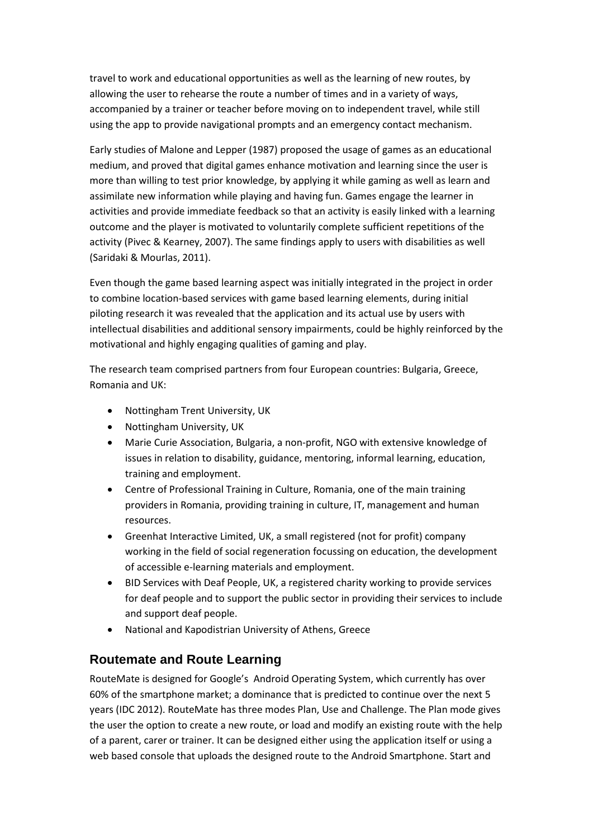travel to work and educational opportunities as well as the learning of new routes, by allowing the user to rehearse the route a number of times and in a variety of ways, accompanied by a trainer or teacher before moving on to independent travel, while still using the app to provide navigational prompts and an emergency contact mechanism.

Early studies of Malone and Lepper (1987) proposed the usage of games as an educational medium, and proved that digital games enhance motivation and learning since the user is more than willing to test prior knowledge, by applying it while gaming as well as learn and assimilate new information while playing and having fun. Games engage the learner in activities and provide immediate feedback so that an activity is easily linked with a learning outcome and the player is motivated to voluntarily complete sufficient repetitions of the activity (Pivec & Kearney, 2007). The same findings apply to users with disabilities as well (Saridaki & Mourlas, 2011).

Even though the game based learning aspect was initially integrated in the project in order to combine location-based services with game based learning elements, during initial piloting research it was revealed that the application and its actual use by users with intellectual disabilities and additional sensory impairments, could be highly reinforced by the motivational and highly engaging qualities of gaming and play.

The research team comprised partners from four European countries: Bulgaria, Greece, Romania and UK:

- Nottingham Trent University, UK
- Nottingham University, UK
- Marie Curie Association, Bulgaria, a non-profit, NGO with extensive knowledge of issues in relation to disability, guidance, mentoring, informal learning, education, training and employment.
- Centre of Professional Training in Culture, Romania, one of the main training providers in Romania, providing training in culture, IT, management and human resources.
- Greenhat Interactive Limited, UK, a small registered (not for profit) company working in the field of social regeneration focussing on education, the development of accessible e-learning materials and employment.
- BID Services with Deaf People, UK, a registered charity working to provide services for deaf people and to support the public sector in providing their services to include and support deaf people.
- National and Kapodistrian University of Athens, Greece

#### **Routemate and Route Learning**

RouteMate is designed for Google's Android Operating System, which currently has over 60% of the smartphone market; a dominance that is predicted to continue over the next 5 years (IDC 2012). RouteMate has three modes Plan, Use and Challenge. The Plan mode gives the user the option to create a new route, or load and modify an existing route with the help of a parent, carer or trainer. It can be designed either using the application itself or using a web based console that uploads the designed route to the Android Smartphone. Start and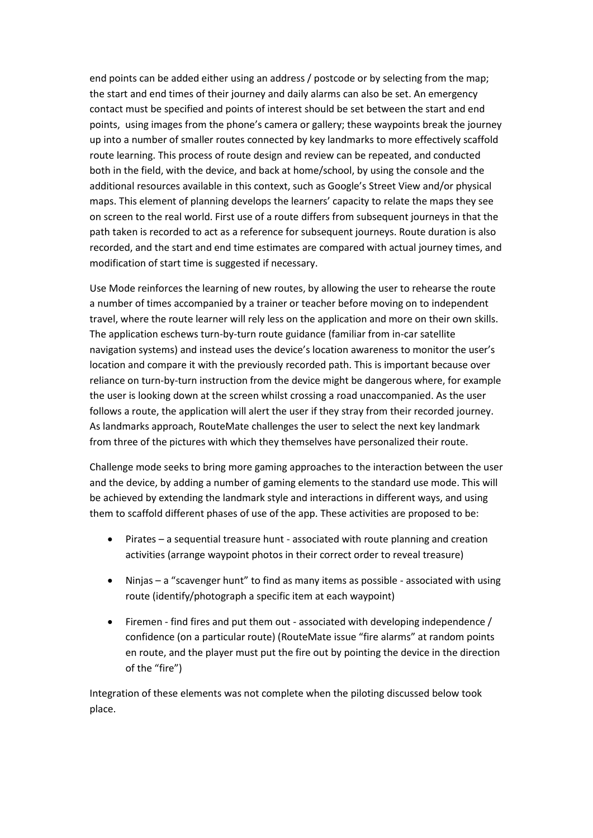end points can be added either using an address / postcode or by selecting from the map; the start and end times of their journey and daily alarms can also be set. An emergency contact must be specified and points of interest should be set between the start and end points, using images from the phone's camera or gallery; these waypoints break the journey up into a number of smaller routes connected by key landmarks to more effectively scaffold route learning. This process of route design and review can be repeated, and conducted both in the field, with the device, and back at home/school, by using the console and the additional resources available in this context, such as Google's Street View and/or physical maps. This element of planning develops the learners' capacity to relate the maps they see on screen to the real world. First use of a route differs from subsequent journeys in that the path taken is recorded to act as a reference for subsequent journeys. Route duration is also recorded, and the start and end time estimates are compared with actual journey times, and modification of start time is suggested if necessary.

Use Mode reinforces the learning of new routes, by allowing the user to rehearse the route a number of times accompanied by a trainer or teacher before moving on to independent travel, where the route learner will rely less on the application and more on their own skills. The application eschews turn-by-turn route guidance (familiar from in-car satellite navigation systems) and instead uses the device's location awareness to monitor the user's location and compare it with the previously recorded path. This is important because over reliance on turn-by-turn instruction from the device might be dangerous where, for example the user is looking down at the screen whilst crossing a road unaccompanied. As the user follows a route, the application will alert the user if they stray from their recorded journey. As landmarks approach, RouteMate challenges the user to select the next key landmark from three of the pictures with which they themselves have personalized their route.

Challenge mode seeks to bring more gaming approaches to the interaction between the user and the device, by adding a number of gaming elements to the standard use mode. This will be achieved by extending the landmark style and interactions in different ways, and using them to scaffold different phases of use of the app. These activities are proposed to be:

- Pirates a sequential treasure hunt associated with route planning and creation activities (arrange waypoint photos in their correct order to reveal treasure)
- Ninjas a "scavenger hunt" to find as many items as possible associated with using route (identify/photograph a specific item at each waypoint)
- Firemen find fires and put them out associated with developing independence / confidence (on a particular route) (RouteMate issue "fire alarms" at random points en route, and the player must put the fire out by pointing the device in the direction of the "fire")

Integration of these elements was not complete when the piloting discussed below took place.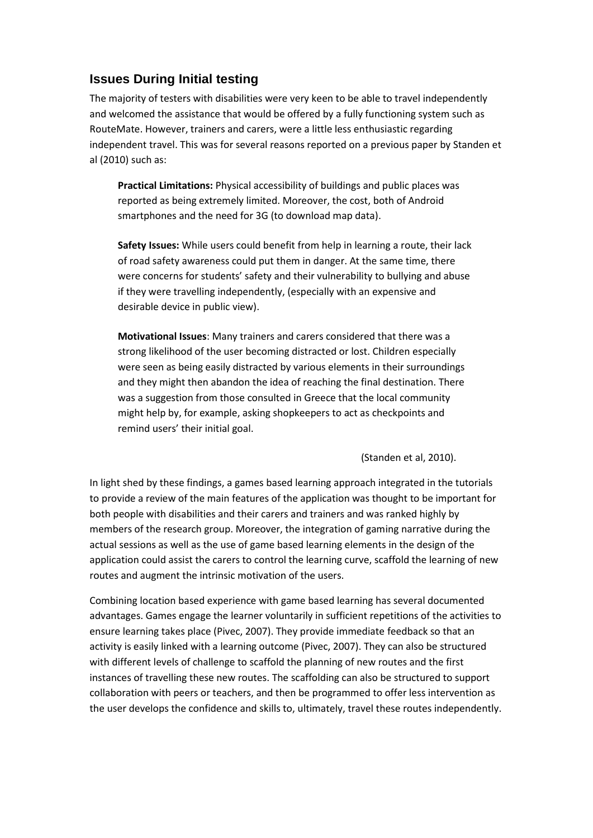### **Issues During Initial testing**

The majority of testers with disabilities were very keen to be able to travel independently and welcomed the assistance that would be offered by a fully functioning system such as RouteMate. However, trainers and carers, were a little less enthusiastic regarding independent travel. This was for several reasons reported on a previous paper by Standen et al (2010) such as:

**Practical Limitations:** Physical accessibility of buildings and public places was reported as being extremely limited. Moreover, the cost, both of Android smartphones and the need for 3G (to download map data).

**Safety Issues:** While users could benefit from help in learning a route, their lack of road safety awareness could put them in danger. At the same time, there were concerns for students' safety and their vulnerability to bullying and abuse if they were travelling independently, (especially with an expensive and desirable device in public view).

**Motivational Issues**: Many trainers and carers considered that there was a strong likelihood of the user becoming distracted or lost. Children especially were seen as being easily distracted by various elements in their surroundings and they might then abandon the idea of reaching the final destination. There was a suggestion from those consulted in Greece that the local community might help by, for example, asking shopkeepers to act as checkpoints and remind users' their initial goal.

(Standen et al, 2010).

In light shed by these findings, a games based learning approach integrated in the tutorials to provide a review of the main features of the application was thought to be important for both people with disabilities and their carers and trainers and was ranked highly by members of the research group. Moreover, the integration of gaming narrative during the actual sessions as well as the use of game based learning elements in the design of the application could assist the carers to control the learning curve, scaffold the learning of new routes and augment the intrinsic motivation of the users.

Combining location based experience with game based learning has several documented advantages. Games engage the learner voluntarily in sufficient repetitions of the activities to ensure learning takes place (Pivec, 2007). They provide immediate feedback so that an activity is easily linked with a learning outcome (Pivec, 2007). They can also be structured with different levels of challenge to scaffold the planning of new routes and the first instances of travelling these new routes. The scaffolding can also be structured to support collaboration with peers or teachers, and then be programmed to offer less intervention as the user develops the confidence and skills to, ultimately, travel these routes independently.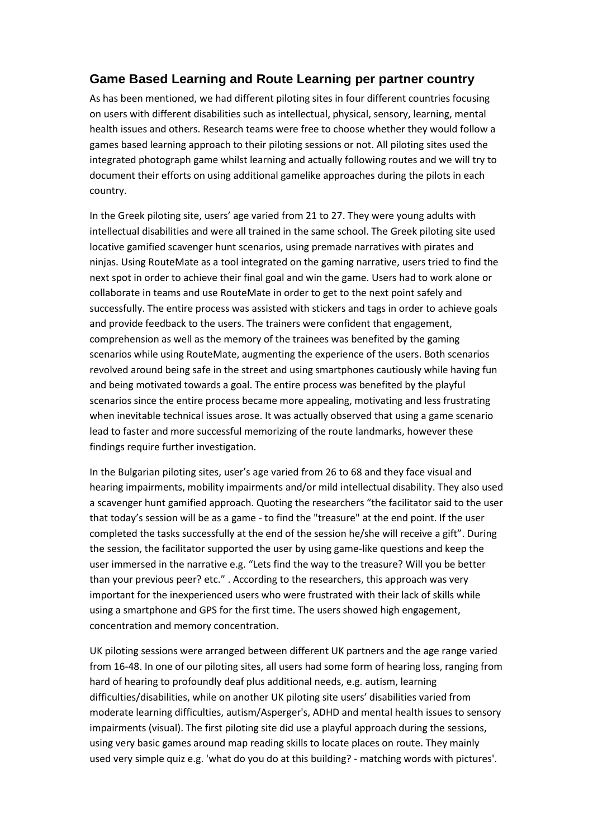## **Game Based Learning and Route Learning per partner country**

As has been mentioned, we had different piloting sites in four different countries focusing on users with different disabilities such as intellectual, physical, sensory, learning, mental health issues and others. Research teams were free to choose whether they would follow a games based learning approach to their piloting sessions or not. All piloting sites used the integrated photograph game whilst learning and actually following routes and we will try to document their efforts on using additional gamelike approaches during the pilots in each country.

In the Greek piloting site, users' age varied from 21 to 27. They were young adults with intellectual disabilities and were all trained in the same school. The Greek piloting site used locative gamified scavenger hunt scenarios, using premade narratives with pirates and ninjas. Using RouteMate as a tool integrated on the gaming narrative, users tried to find the next spot in order to achieve their final goal and win the game. Users had to work alone or collaborate in teams and use RouteMate in order to get to the next point safely and successfully. The entire process was assisted with stickers and tags in order to achieve goals and provide feedback to the users. The trainers were confident that engagement, comprehension as well as the memory of the trainees was benefited by the gaming scenarios while using RouteMate, augmenting the experience of the users. Both scenarios revolved around being safe in the street and using smartphones cautiously while having fun and being motivated towards a goal. The entire process was benefited by the playful scenarios since the entire process became more appealing, motivating and less frustrating when inevitable technical issues arose. It was actually observed that using a game scenario lead to faster and more successful memorizing of the route landmarks, however these findings require further investigation.

In the Bulgarian piloting sites, user's age varied from 26 to 68 and they face visual and hearing impairments, mobility impairments and/or mild intellectual disability. They also used a scavenger hunt gamified approach. Quoting the researchers "the facilitator said to the user that today's session will be as a game - to find the "treasure" at the end point. If the user completed the tasks successfully at the end of the session he/she will receive a gift". During the session, the facilitator supported the user by using game-like questions and keep the user immersed in the narrative e.g. "Lets find the way to the treasure? Will you be better than your previous peer? etc." . According to the researchers, this approach was very important for the inexperienced users who were frustrated with their lack of skills while using a smartphone and GPS for the first time. The users showed high engagement, concentration and memory concentration.

UK piloting sessions were arranged between different UK partners and the age range varied from 16-48. In one of our piloting sites, all users had some form of hearing loss, ranging from hard of hearing to profoundly deaf plus additional needs, e.g. autism, learning difficulties/disabilities, while on another UK piloting site users' disabilities varied from moderate learning difficulties, autism/Asperger's, ADHD and mental health issues to sensory impairments (visual). The first piloting site did use a playful approach during the sessions, using very basic games around map reading skills to locate places on route. They mainly used very simple quiz e.g. 'what do you do at this building? - matching words with pictures'.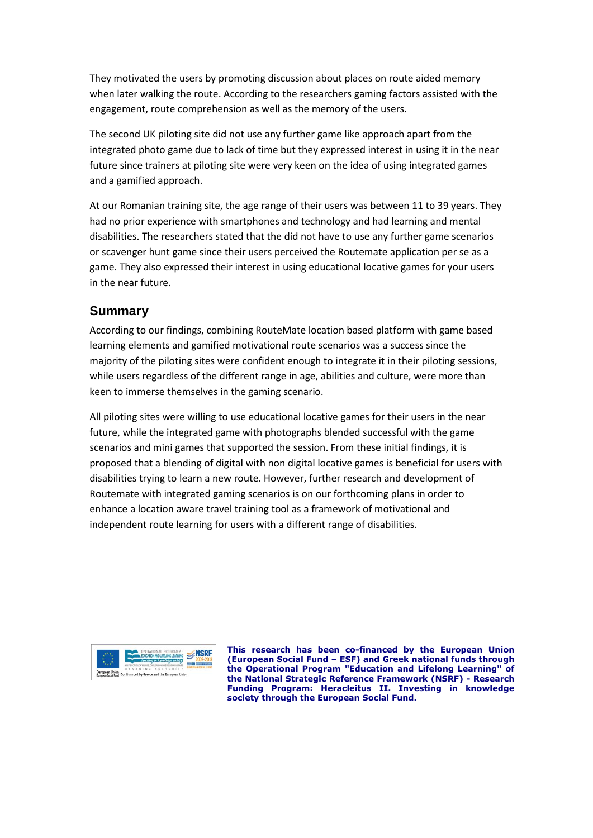They motivated the users by promoting discussion about places on route aided memory when later walking the route. According to the researchers gaming factors assisted with the engagement, route comprehension as well as the memory of the users.

The second UK piloting site did not use any further game like approach apart from the integrated photo game due to lack of time but they expressed interest in using it in the near future since trainers at piloting site were very keen on the idea of using integrated games and a gamified approach.

At our Romanian training site, the age range of their users was between 11 to 39 years. They had no prior experience with smartphones and technology and had learning and mental disabilities. The researchers stated that the did not have to use any further game scenarios or scavenger hunt game since their users perceived the Routemate application per se as a game. They also expressed their interest in using educational locative games for your users in the near future.

#### **Summary**

According to our findings, combining RouteMate location based platform with game based learning elements and gamified motivational route scenarios was a success since the majority of the piloting sites were confident enough to integrate it in their piloting sessions, while users regardless of the different range in age, abilities and culture, were more than keen to immerse themselves in the gaming scenario.

All piloting sites were willing to use educational locative games for their users in the near future, while the integrated game with photographs blended successful with the game scenarios and mini games that supported the session. From these initial findings, it is proposed that a blending of digital with non digital locative games is beneficial for users with disabilities trying to learn a new route. However, further research and development of Routemate with integrated gaming scenarios is on our forthcoming plans in order to enhance a location aware travel training tool as a framework of motivational and independent route learning for users with a different range of disabilities.



**This research has been co-financed by the European Union (European Social Fund – ESF) and Greek national funds through the Operational Program "Education and Lifelong Learning" of the National Strategic Reference Framework (NSRF) - Research Funding Program: Heracleitus II. Investing in knowledge society through the European Social Fund.**